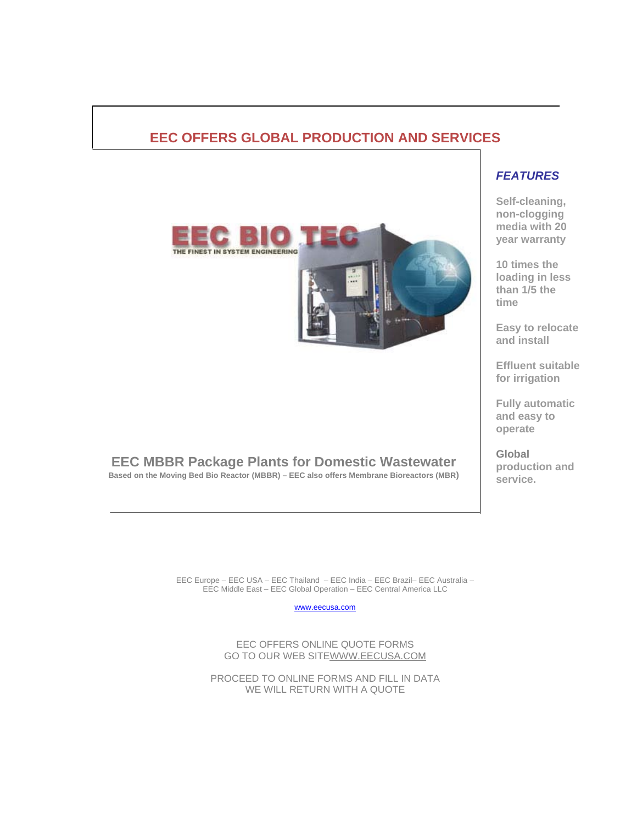### **EEC OFFERS GLOBAL PRODUCTION AND SERVICES**



**EEC MBBR Package Plants for Domestic Wastewater Based on the Moving Bed Bio Reactor (MBBR) – EEC also offers Membrane Bioreactors (MBR)** 

### *FEATURES*

**Self-cleaning, non-clogging media with 20 year warranty** 

**10 times the loading in less than 1/5 the time** 

**Easy to relocate and install** 

**Effluent suitable for irrigation** 

**Fully automatic and easy to operate** 

**Global production and service.**

EEC Europe – EEC USA – EEC Thailand – EEC India – EEC Brazil– EEC Australia – EEC Middle East – EEC Global Operation – EEC Central America LLC

www.eecusa.com

EEC OFFERS ONLINE QUOTE FORMS GO TO OUR WEB SITEWWW.EECUSA.COM

PROCEED TO ONLINE FORMS AND FILL IN DATA WE WILL RETURN WITH A QUOTE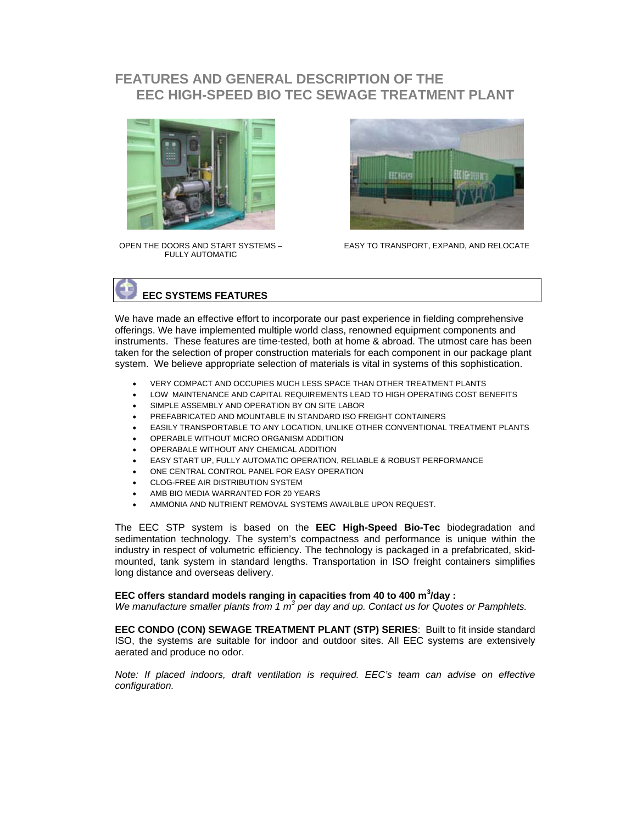### **FEATURES AND GENERAL DESCRIPTION OF THE EEC HIGH-SPEED BIO TEC SEWAGE TREATMENT PLANT**



OPEN THE DOORS AND START SYSTEMS – FULLY AUTOMATIC



EASY TO TRANSPORT, EXPAND, AND RELOCATE

## **EEC SYSTEMS FEATURES**

We have made an effective effort to incorporate our past experience in fielding comprehensive offerings. We have implemented multiple world class, renowned equipment components and instruments. These features are time-tested, both at home & abroad. The utmost care has been taken for the selection of proper construction materials for each component in our package plant system. We believe appropriate selection of materials is vital in systems of this sophistication.

- VERY COMPACT AND OCCUPIES MUCH LESS SPACE THAN OTHER TREATMENT PLANTS
- LOW MAINTENANCE AND CAPITAL REQUIREMENTS LEAD TO HIGH OPERATING COST BENEFITS
- SIMPLE ASSEMBLY AND OPERATION BY ON SITE LABOR
- PREFABRICATED AND MOUNTABLE IN STANDARD ISO FREIGHT CONTAINERS
- EASILY TRANSPORTABLE TO ANY LOCATION, UNLIKE OTHER CONVENTIONAL TREATMENT PLANTS
- OPERABLE WITHOUT MICRO ORGANISM ADDITION
- OPERABALE WITHOUT ANY CHEMICAL ADDITION
- EASY START UP, FULLY AUTOMATIC OPERATION, RELIABLE & ROBUST PERFORMANCE
- ONE CENTRAL CONTROL PANEL FOR EASY OPERATION
- CLOG-FREE AIR DISTRIBUTION SYSTEM
- AMB BIO MEDIA WARRANTED FOR 20 YEARS
- AMMONIA AND NUTRIENT REMOVAL SYSTEMS AWAILBLE UPON REQUEST.

The EEC STP system is based on the **EEC High-Speed Bio-Tec** biodegradation and sedimentation technology. The system's compactness and performance is unique within the industry in respect of volumetric efficiency. The technology is packaged in a prefabricated, skidmounted, tank system in standard lengths. Transportation in ISO freight containers simplifies long distance and overseas delivery.

#### EEC offers standard models ranging in capacities from 40 to 400 m<sup>3</sup>/day :

We manufacture smaller plants from 1 m<sup>3</sup> per day and up. Contact us for Quotes or Pamphlets.

**EEC CONDO (CON) SEWAGE TREATMENT PLANT (STP) SERIES**: Built to fit inside standard ISO, the systems are suitable for indoor and outdoor sites. All EEC systems are extensively aerated and produce no odor.

*Note: If placed indoors, draft ventilation is required. EEC's team can advise on effective configuration.*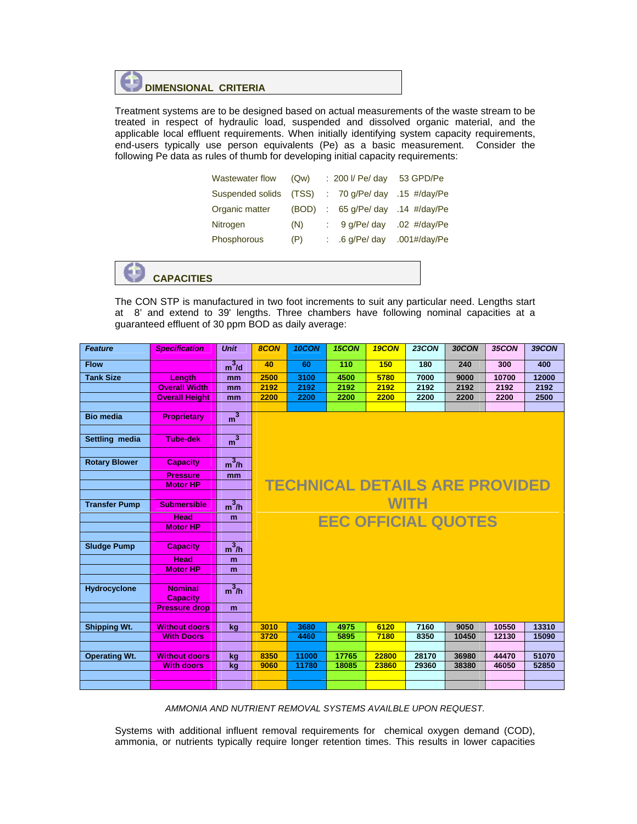# **DIMENSIONAL CRITERIA**

Treatment systems are to be designed based on actual measurements of the waste stream to be treated in respect of hydraulic load, suspended and dissolved organic material, and the applicable local effluent requirements. When initially identifying system capacity requirements, end-users typically use person equivalents (Pe) as a basic measurement. Consider the following Pe data as rules of thumb for developing initial capacity requirements:

| Wastewater flow  | (Qw)  | : 200 l/ Pe/ day | 53 GPD/Pe                            |
|------------------|-------|------------------|--------------------------------------|
| Suspended solids | (TSS) | 70 g/Pe/ day     | .15 $\#$ /day/Pe                     |
| Organic matter   | (BOD) | 65 g/Pe/ day     | .14 $\#/day/Pe$                      |
| Nitrogen         | (N)   | 9 g/Pe/ day      | $.02$ #/day/Pe                       |
| Phosphorous      | (P)   | $.6$ g/Pe/ day   | $.001\frac{\text{#/day}}{\text{Pe}}$ |



The CON STP is manufactured in two foot increments to suit any particular need. Lengths start at 8' and extend to 39' lengths. Three chambers have following nominal capacities at a guaranteed effluent of 30 ppm BOD as daily average:

| <b>Feature</b>       | <b>Specification</b>  | <b>Unit</b>    | 8CON | 10CON | 15CON | 19CON | <b>23CON</b>                          | 30CON | 35CON | 39CON |
|----------------------|-----------------------|----------------|------|-------|-------|-------|---------------------------------------|-------|-------|-------|
| <b>Flow</b>          |                       | $m^3/d$        | 40   | 60    | 110   | 150   | 180                                   | 240   | 300   | 400   |
| <b>Tank Size</b>     | Length                | mm             | 2500 | 3100  | 4500  | 5780  | 7000                                  | 9000  | 10700 | 12000 |
|                      | <b>Overall Width</b>  | mm             | 2192 | 2192  | 2192  | 2192  | 2192                                  | 2192  | 2192  | 2192  |
|                      | <b>Overall Height</b> | mm             | 2200 | 2200  | 2200  | 2200  | 2200                                  | 2200  | 2200  | 2500  |
|                      |                       |                |      |       |       |       |                                       |       |       |       |
| <b>Bio media</b>     | <b>Proprietary</b>    | m <sup>3</sup> |      |       |       |       |                                       |       |       |       |
|                      |                       |                |      |       |       |       |                                       |       |       |       |
| Settling media       | <b>Tube-dek</b>       | $\frac{1}{2}$  |      |       |       |       |                                       |       |       |       |
|                      |                       |                |      |       |       |       |                                       |       |       |       |
| <b>Rotary Blower</b> | <b>Capacity</b>       | $m^3/h$        |      |       |       |       |                                       |       |       |       |
|                      | <b>Pressure</b>       |                |      |       |       |       |                                       |       |       |       |
|                      | <b>Motor HP</b>       | mm             |      |       |       |       | <b>TECHNICAL DETAILS ARE PROVIDED</b> |       |       |       |
|                      |                       |                |      |       |       |       |                                       |       |       |       |
| <b>Transfer Pump</b> | <b>Submersible</b>    | $m^3/h$        |      |       |       |       | <b>WITH</b>                           |       |       |       |
|                      |                       |                |      |       |       |       |                                       |       |       |       |
|                      | <b>Head</b>           | m              |      |       |       |       | <b>EEC OFFICIAL QUOTES</b>            |       |       |       |
|                      | <b>Motor HP</b>       |                |      |       |       |       |                                       |       |       |       |
| <b>Sludge Pump</b>   | <b>Capacity</b>       | $m^3/h$        |      |       |       |       |                                       |       |       |       |
|                      |                       |                |      |       |       |       |                                       |       |       |       |
|                      | <b>Head</b>           | m              |      |       |       |       |                                       |       |       |       |
|                      | <b>Motor HP</b>       | m              |      |       |       |       |                                       |       |       |       |
| <b>Hydrocyclone</b>  | <b>Nominal</b>        | $m^3/h$        |      |       |       |       |                                       |       |       |       |
|                      | <b>Capacity</b>       |                |      |       |       |       |                                       |       |       |       |
|                      | <b>Pressure drop</b>  | m              |      |       |       |       |                                       |       |       |       |
|                      |                       |                |      |       |       |       |                                       |       |       |       |
| <b>Shipping Wt.</b>  | <b>Without doors</b>  | kg             | 3010 | 3680  | 4975  | 6120  | 7160                                  | 9050  | 10550 | 13310 |
|                      | <b>With Doors</b>     |                | 3720 | 4460  | 5895  | 7180  | 8350                                  | 10450 | 12130 | 15090 |
|                      |                       |                |      |       |       |       |                                       |       |       |       |
| <b>Operating Wt.</b> | <b>Without doors</b>  | kg             | 8350 | 11000 | 17765 | 22800 | 28170                                 | 36980 | 44470 | 51070 |
|                      | <b>With doors</b>     | kg             | 9060 | 11780 | 18085 | 23860 | 29360                                 | 38380 | 46050 | 52850 |
|                      |                       |                |      |       |       |       |                                       |       |       |       |
|                      |                       |                |      |       |       |       |                                       |       |       |       |

*AMMONIA AND NUTRIENT REMOVAL SYSTEMS AVAILBLE UPON REQUEST.* 

Systems with additional influent removal requirements for chemical oxygen demand (COD), ammonia, or nutrients typically require longer retention times. This results in lower capacities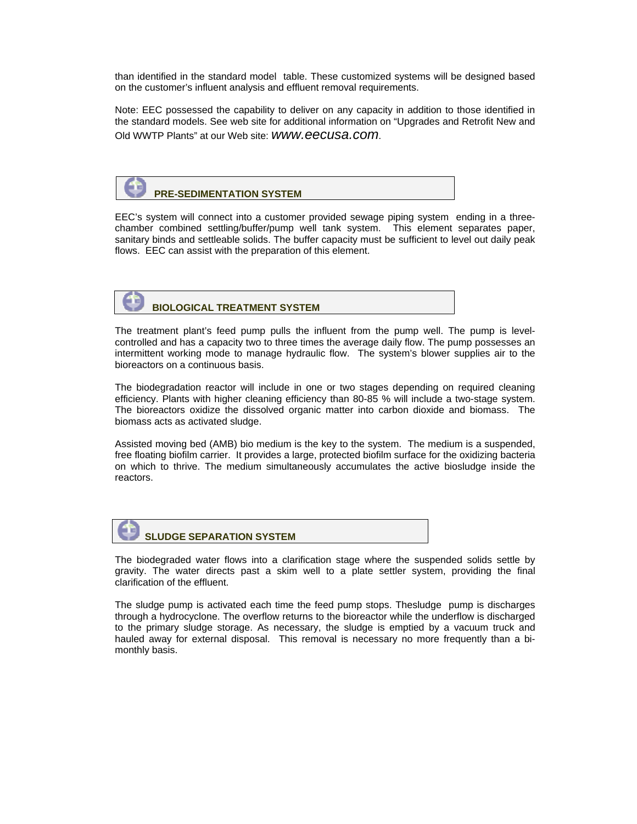than identified in the standard model table. These customized systems will be designed based on the customer's influent analysis and effluent removal requirements.

Note: EEC possessed the capability to deliver on any capacity in addition to those identified in the standard models. See web site for additional information on "Upgrades and Retrofit New and Old WWTP Plants" at our Web site: *www.eecusa.com*.



EEC's system will connect into a customer provided sewage piping system ending in a threechamber combined settling/buffer/pump well tank system. This element separates paper, sanitary binds and settleable solids. The buffer capacity must be sufficient to level out daily peak flows. EEC can assist with the preparation of this element.

# **BIOLOGICAL TREATMENT SYSTEM**

The treatment plant's feed pump pulls the influent from the pump well. The pump is levelcontrolled and has a capacity two to three times the average daily flow. The pump possesses an intermittent working mode to manage hydraulic flow. The system's blower supplies air to the bioreactors on a continuous basis.

The biodegradation reactor will include in one or two stages depending on required cleaning efficiency. Plants with higher cleaning efficiency than 80-85 % will include a two-stage system. The bioreactors oxidize the dissolved organic matter into carbon dioxide and biomass. The biomass acts as activated sludge.

Assisted moving bed (AMB) bio medium is the key to the system. The medium is a suspended, free floating biofilm carrier. It provides a large, protected biofilm surface for the oxidizing bacteria on which to thrive. The medium simultaneously accumulates the active biosludge inside the reactors.



The biodegraded water flows into a clarification stage where the suspended solids settle by gravity. The water directs past a skim well to a plate settler system, providing the final clarification of the effluent.

The sludge pump is activated each time the feed pump stops. Thesludge pump is discharges through a hydrocyclone. The overflow returns to the bioreactor while the underflow is discharged to the primary sludge storage. As necessary, the sludge is emptied by a vacuum truck and hauled away for external disposal. This removal is necessary no more frequently than a bimonthly basis.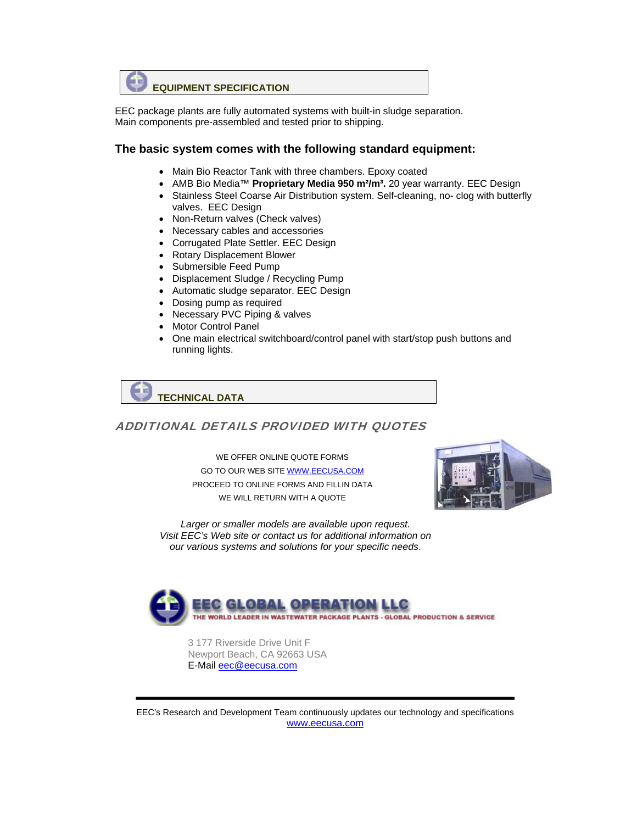

EEC package plants are fully automated systems with built-in sludge separation. Main components pre-assembled and tested prior to shipping.

#### **The basic system comes with the following standard equipment:**

- Main Bio Reactor Tank with three chambers. Epoxy coated
- AMB Bio Media<sup>™</sup> **Proprietary Media 950 m<sup>2</sup>/m<sup>3</sup>.** 20 year warranty. EEC Design
- Stainless Steel Coarse Air Distribution system. Self-cleaning, no- clog with butterfly valves. EEC Design
- Non-Return valves (Check valves)
- Necessary cables and accessories
- Corrugated Plate Settler. EEC Design
- Rotary Displacement Blower
- Submersible Feed Pump
- Displacement Sludge / Recycling Pump
- Automatic sludge separator. EEC Design
- Dosing pump as required
- Necessary PVC Piping & valves
- Motor Control Panel
- One main electrical switchboard/control panel with start/stop push buttons and running lights.



#### ADDITIONAL DETAILS PROVIDED WITH QUOTES

WE OFFER ONLINE QUOTE FORMS GO TO OUR WEB SITE WWW.EECUSA.COM PROCEED TO ONLINE FORMS AND FILLIN DATA WE WILL RETURN WITH A QUOTE



*Larger or smaller models are available upon request. Visit EEC's Web site or contact us for additional information on our various systems and solutions for your specific needs.* 



 3 177 Riverside Drive Unit F Newport Beach, CA 92663 USA E-Mail eec@eecusa.com

EEC's Research and Development Team continuously updates our technology and specifications www.eecusa.com